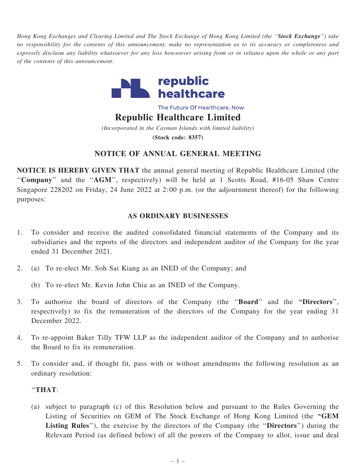Hong Kong Exchanges and Clearing Limited and The Stock Exchange of Hong Kong Limited (the "Stock Exchange") take no responsibility for the contents of this announcement, make no representation as to its accuracy or completeness and expressly disclaim any liability whatsoever for any loss howsoever arising from or in reliance upon the whole or any part of the contents of this announcement.



The Future Of Healthcare, Now

Republic Healthcare Limited

(Incorporated in the Cayman Islands with limited liability) (Stock code: 8357)

# NOTICE OF ANNUAL GENERAL MEETING

NOTICE IS HEREBY GIVEN THAT the annual general meeting of Republic Healthcare Limited (the "Company" and the "AGM", respectively) will be held at 1 Scotts Road, #16-05 Shaw Centre Singapore 228202 on Friday, 24 June 2022 at 2:00 p.m. (or the adjournment thereof) for the following purposes:

## AS ORDINARY BUSINESSES

- 1. To consider and receive the audited consolidated financial statements of the Company and its subsidiaries and the reports of the directors and independent auditor of the Company for the year ended 31 December 2021.
- 2. (a) To re-elect Mr. Soh Sai Kiang as an INED of the Company; and
	- (b) To re-elect Mr. Kevin John Chia as an INED of the Company.
- 3. To authorise the board of directors of the Company (the ''Board'' and the ''Directors'', respectively) to fix the remuneration of the directors of the Company for the year ending 31 December 2022.
- 4. To re-appoint Baker Tilly TFW LLP as the independent auditor of the Company and to authorise the Board to fix its remuneration.
- 5. To consider and, if thought fit, pass with or without amendments the following resolution as an ordinary resolution:

### ''THAT:

(a) subject to paragraph (c) of this Resolution below and pursuant to the Rules Governing the Listing of Securities on GEM of The Stock Exchange of Hong Kong Limited (the ''GEM Listing Rules"), the exercise by the directors of the Company (the "Directors") during the Relevant Period (as defined below) of all the powers of the Company to allot, issue and deal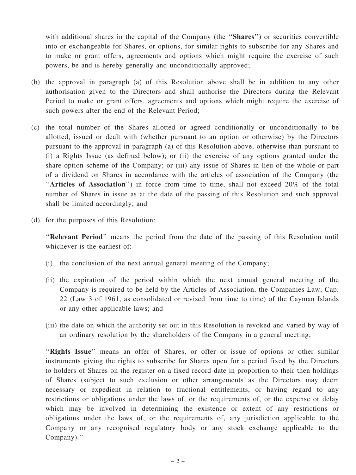with additional shares in the capital of the Company (the "Shares") or securities convertible into or exchangeable for Shares, or options, for similar rights to subscribe for any Shares and to make or grant offers, agreements and options which might require the exercise of such powers, be and is hereby generally and unconditionally approved;

- (b) the approval in paragraph (a) of this Resolution above shall be in addition to any other authorisation given to the Directors and shall authorise the Directors during the Relevant Period to make or grant offers, agreements and options which might require the exercise of such powers after the end of the Relevant Period;
- (c) the total number of the Shares allotted or agreed conditionally or unconditionally to be allotted, issued or dealt with (whether pursuant to an option or otherwise) by the Directors pursuant to the approval in paragraph (a) of this Resolution above, otherwise than pursuant to (i) a Rights Issue (as defined below); or (ii) the exercise of any options granted under the share option scheme of the Company; or (iii) any issue of Shares in lieu of the whole or part of a dividend on Shares in accordance with the articles of association of the Company (the "Articles of Association") in force from time to time, shall not exceed 20% of the total number of Shares in issue as at the date of the passing of this Resolution and such approval shall be limited accordingly; and
- (d) for the purposes of this Resolution:

''Relevant Period'' means the period from the date of the passing of this Resolution until whichever is the earliest of:

- (i) the conclusion of the next annual general meeting of the Company;
- (ii) the expiration of the period within which the next annual general meeting of the Company is required to be held by the Articles of Association, the Companies Law, Cap. 22 (Law 3 of 1961, as consolidated or revised from time to time) of the Cayman Islands or any other applicable laws; and
- (iii) the date on which the authority set out in this Resolution is revoked and varied by way of an ordinary resolution by the shareholders of the Company in a general meeting;

"Rights Issue" means an offer of Shares, or offer or issue of options or other similar instruments giving the rights to subscribe for Shares open for a period fixed by the Directors to holders of Shares on the register on a fixed record date in proportion to their then holdings of Shares (subject to such exclusion or other arrangements as the Directors may deem necessary or expedient in relation to fractional entitlements, or having regard to any restrictions or obligations under the laws of, or the requirements of, or the expense or delay which may be involved in determining the existence or extent of any restrictions or obligations under the laws of, or the requirements of, any jurisdiction applicable to the Company or any recognised regulatory body or any stock exchange applicable to the Company).''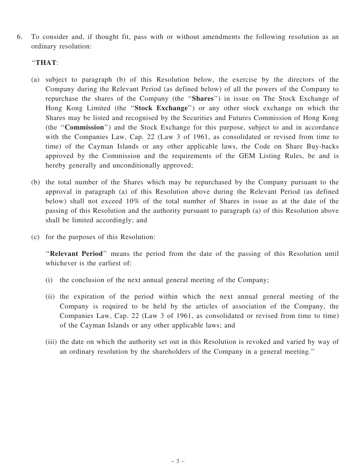6. To consider and, if thought fit, pass with or without amendments the following resolution as an ordinary resolution:

#### ''THAT:

- (a) subject to paragraph (b) of this Resolution below, the exercise by the directors of the Company during the Relevant Period (as defined below) of all the powers of the Company to repurchase the shares of the Company (the ''Shares'') in issue on The Stock Exchange of Hong Kong Limited (the "Stock Exchange") or any other stock exchange on which the Shares may be listed and recognised by the Securities and Futures Commission of Hong Kong (the ''Commission'') and the Stock Exchange for this purpose, subject to and in accordance with the Companies Law, Cap. 22 (Law 3 of 1961, as consolidated or revised from time to time) of the Cayman Islands or any other applicable laws, the Code on Share Buy-backs approved by the Commission and the requirements of the GEM Listing Rules, be and is hereby generally and unconditionally approved;
- (b) the total number of the Shares which may be repurchased by the Company pursuant to the approval in paragraph (a) of this Resolution above during the Relevant Period (as defined below) shall not exceed 10% of the total number of Shares in issue as at the date of the passing of this Resolution and the authority pursuant to paragraph (a) of this Resolution above shall be limited accordingly; and
- (c) for the purposes of this Resolution:

"Relevant Period" means the period from the date of the passing of this Resolution until whichever is the earliest of:

- (i) the conclusion of the next annual general meeting of the Company;
- (ii) the expiration of the period within which the next annual general meeting of the Company is required to be held by the articles of association of the Company, the Companies Law, Cap. 22 (Law 3 of 1961, as consolidated or revised from time to time) of the Cayman Islands or any other applicable laws; and
- (iii) the date on which the authority set out in this Resolution is revoked and varied by way of an ordinary resolution by the shareholders of the Company in a general meeting.''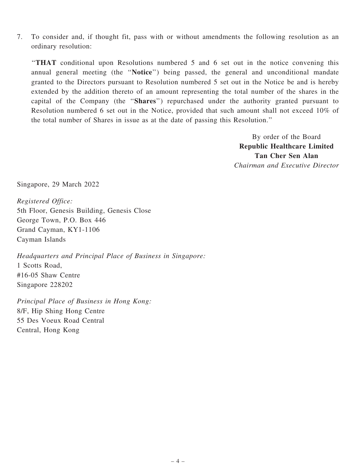7. To consider and, if thought fit, pass with or without amendments the following resolution as an ordinary resolution:

''THAT conditional upon Resolutions numbered 5 and 6 set out in the notice convening this annual general meeting (the ''Notice'') being passed, the general and unconditional mandate granted to the Directors pursuant to Resolution numbered 5 set out in the Notice be and is hereby extended by the addition thereto of an amount representing the total number of the shares in the capital of the Company (the ''Shares'') repurchased under the authority granted pursuant to Resolution numbered 6 set out in the Notice, provided that such amount shall not exceed 10% of the total number of Shares in issue as at the date of passing this Resolution.''

> By order of the Board Republic Healthcare Limited Tan Cher Sen Alan Chairman and Executive Director

Singapore, 29 March 2022

Registered Office: 5th Floor, Genesis Building, Genesis Close George Town, P.O. Box 446 Grand Cayman, KY1-1106 Cayman Islands

Headquarters and Principal Place of Business in Singapore: 1 Scotts Road, #16-05 Shaw Centre Singapore 228202

Principal Place of Business in Hong Kong: 8/F, Hip Shing Hong Centre 55 Des Voeux Road Central Central, Hong Kong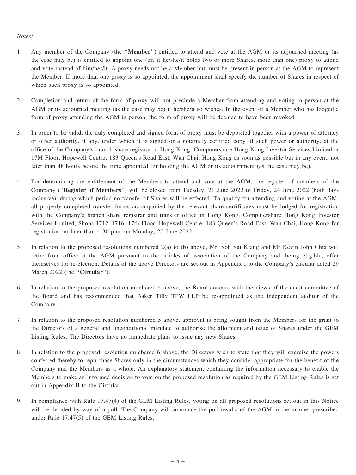#### Notes:

- 1. Any member of the Company (the ''Member'') entitled to attend and vote at the AGM or its adjourned meeting (as the case may be) is entitled to appoint one (or, if he/she/it holds two or more Shares, more than one) proxy to attend and vote instead of him/her/it. A proxy needs not be a Member but must be present in person at the AGM to represent the Member. If more than one proxy is so appointed, the appointment shall specify the number of Shares in respect of which such proxy is so appointed.
- 2. Completion and return of the form of proxy will not preclude a Member from attending and voting in person at the AGM or its adjourned meeting (as the case may be) if he/she/it so wishes. In the event of a Member who has lodged a form of proxy attending the AGM in person, the form of proxy will be deemed to have been revoked.
- 3. In order to be valid, the duly completed and signed form of proxy must be deposited together with a power of attorney or other authority, if any, under which it is signed or a notarially certified copy of such power or authority, at the office of the Company's branch share registrar in Hong Kong, Computershare Hong Kong Investor Services Limited at 17M Floor, Hopewell Centre, 183 Queen's Road East, Wan Chai, Hong Kong as soon as possible but in any event, not later than 48 hours before the time appointed for holding the AGM or its adjournment (as the case may be).
- 4. For determining the entitlement of the Members to attend and vote at the AGM, the register of members of the Company (''Register of Members'') will be closed from Tuesday, 21 June 2022 to Friday, 24 June 2022 (both days inclusive), during which period no transfer of Shares will be effected. To qualify for attending and voting at the AGM, all properly completed transfer forms accompanied by the relevant share certificates must be lodged for registration with the Company's branch share registrar and transfer office in Hong Kong, Computershare Hong Kong Investor Services Limited, Shops 1712–1716, 17th Floor, Hopewell Centre, 183 Queen's Road East, Wan Chai, Hong Kong for registration no later than 4:30 p.m. on Monday, 20 June 2022.
- 5. In relation to the proposed resolutions numbered 2(a) to (b) above, Mr. Soh Sai Kiang and Mr Kevin John Chia will retire from office at the AGM pursuant to the articles of association of the Company and, being eligible, offer themselves for re-election. Details of the above Directors are set out in Appendix I to the Company's circular dated 29 March 2022 (the "Circular").
- 6. In relation to the proposed resolution numbered 4 above, the Board concurs with the views of the audit committee of the Board and has recommended that Baker Tilly TFW LLP be re-appointed as the independent auditor of the Company.
- 7. In relation to the proposed resolution numbered 5 above, approval is being sought from the Members for the grant to the Directors of a general and unconditional mandate to authorise the allotment and issue of Shares under the GEM Listing Rules. The Directors have no immediate plans to issue any new Shares.
- 8. In relation to the proposed resolution numbered 6 above, the Directors wish to state that they will exercise the powers conferred thereby to repurchase Shares only in the circumstances which they consider appropriate for the benefit of the Company and the Members as a whole. An explanatory statement containing the information necessary to enable the Members to make an informed decision to vote on the proposed resolution as required by the GEM Listing Rules is set out in Appendix II to the Circular.
- 9. In compliance with Rule 17.47(4) of the GEM Listing Rules, voting on all proposed resolutions set out in this Notice will be decided by way of a poll. The Company will announce the poll results of the AGM in the manner prescribed under Rule 17.47(5) of the GEM Listing Rules.